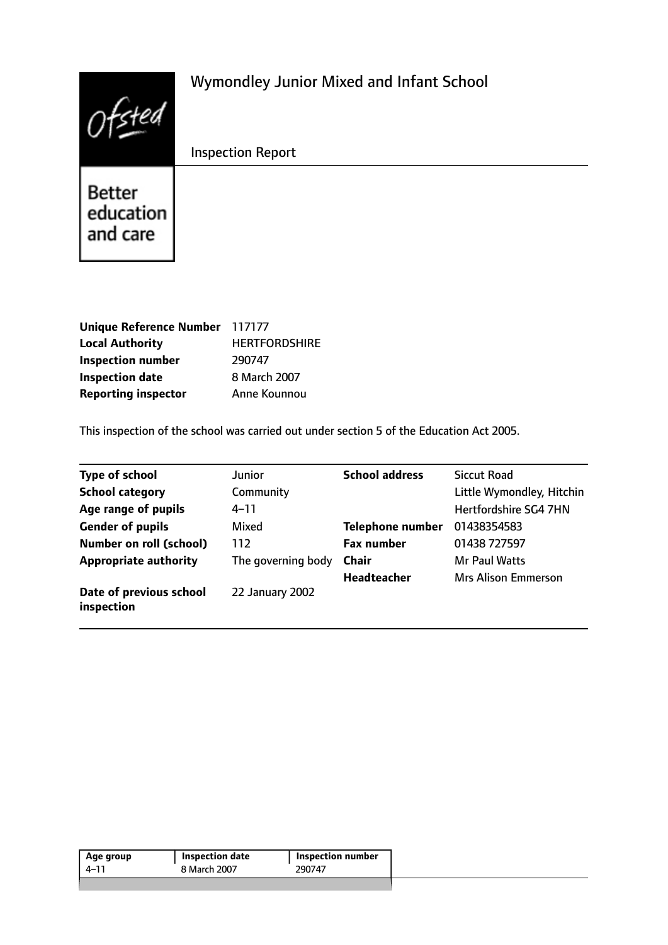|                                 | Wymondley Junior Mixed and Infant School |
|---------------------------------|------------------------------------------|
|                                 | <b>Inspection Report</b>                 |
| Better<br>education<br>and care |                                          |

| Unique Reference Number 117177 |                      |
|--------------------------------|----------------------|
| <b>Local Authority</b>         | <b>HERTFORDSHIRE</b> |
| <b>Inspection number</b>       | 290747               |
| <b>Inspection date</b>         | 8 March 2007         |
| <b>Reporting inspector</b>     | Anne Kounnou         |

This inspection of the school was carried out under section 5 of the Education Act 2005.

| <b>Type of school</b>                 | <b>Junior</b>      | <b>School address</b> | Siccut Road                  |
|---------------------------------------|--------------------|-----------------------|------------------------------|
| <b>School category</b>                | Community          |                       | Little Wymondley, Hitchin    |
| Age range of pupils                   | $4 - 11$           |                       | <b>Hertfordshire SG4 7HN</b> |
| <b>Gender of pupils</b>               | Mixed              | Telephone number      | 01438354583                  |
| <b>Number on roll (school)</b>        | 112                | <b>Fax number</b>     | 01438 727597                 |
| <b>Appropriate authority</b>          | The governing body | <b>Chair</b>          | <b>Mr Paul Watts</b>         |
|                                       |                    | <b>Headteacher</b>    | <b>Mrs Alison Emmerson</b>   |
| Date of previous school<br>inspection | 22 January 2002    |                       |                              |

| Age group | Inspection date | <b>Inspection number</b> |  |
|-----------|-----------------|--------------------------|--|
| $4 - 11$  | 8 March 2007    | 290747                   |  |
|           |                 |                          |  |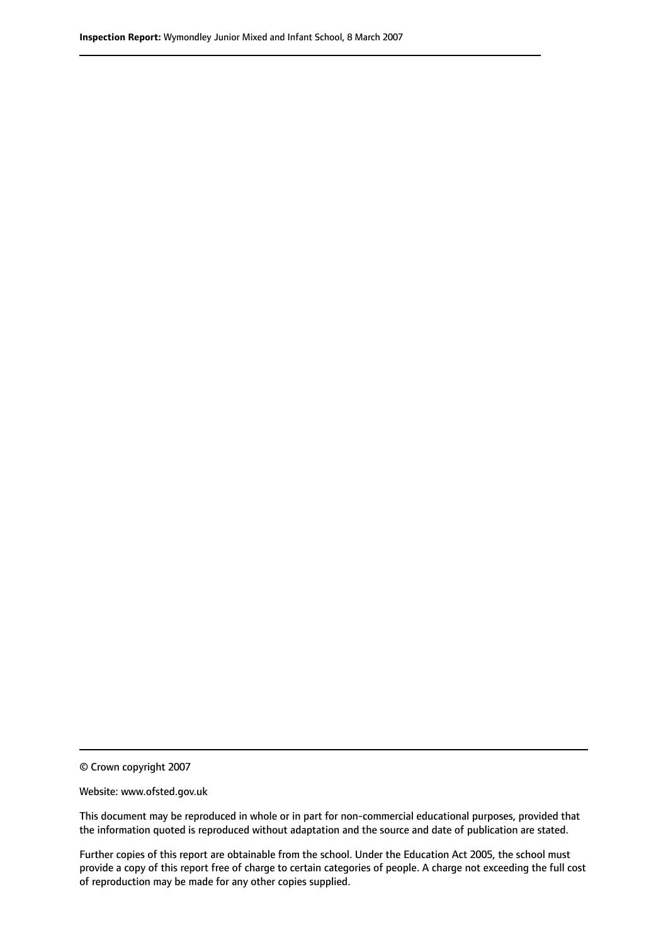© Crown copyright 2007

Website: www.ofsted.gov.uk

This document may be reproduced in whole or in part for non-commercial educational purposes, provided that the information quoted is reproduced without adaptation and the source and date of publication are stated.

Further copies of this report are obtainable from the school. Under the Education Act 2005, the school must provide a copy of this report free of charge to certain categories of people. A charge not exceeding the full cost of reproduction may be made for any other copies supplied.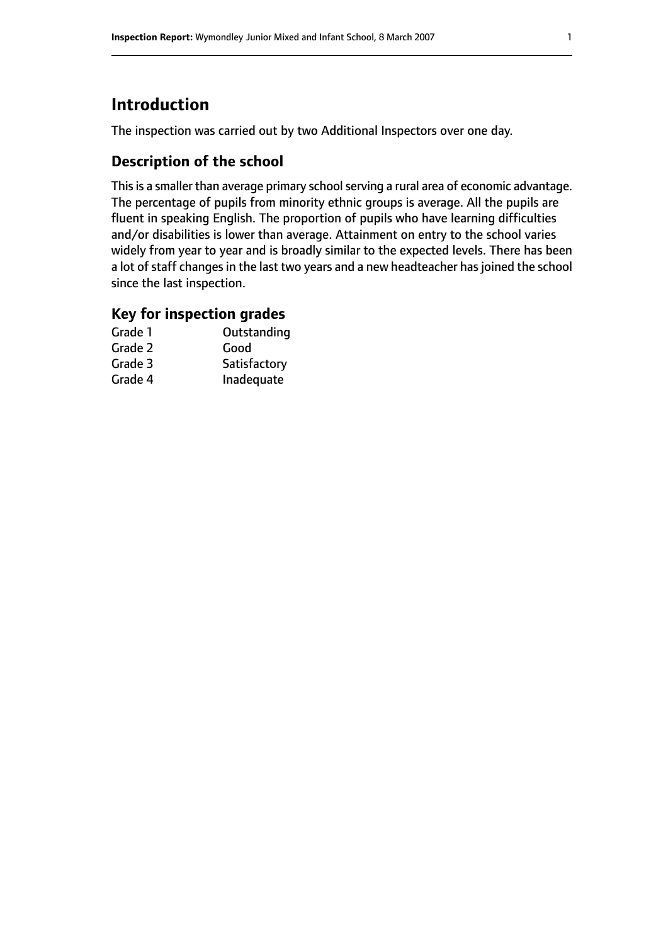## **Introduction**

The inspection was carried out by two Additional Inspectors over one day.

### **Description of the school**

This is a smaller than average primary school serving a rural area of economic advantage. The percentage of pupils from minority ethnic groups is average. All the pupils are fluent in speaking English. The proportion of pupils who have learning difficulties and/or disabilities is lower than average. Attainment on entry to the school varies widely from year to year and is broadly similar to the expected levels. There has been a lot of staff changes in the last two years and a new headteacher has joined the school since the last inspection.

### **Key for inspection grades**

| Grade 1 | Outstanding  |
|---------|--------------|
| Grade 2 | Good         |
| Grade 3 | Satisfactory |
| Grade 4 | Inadequate   |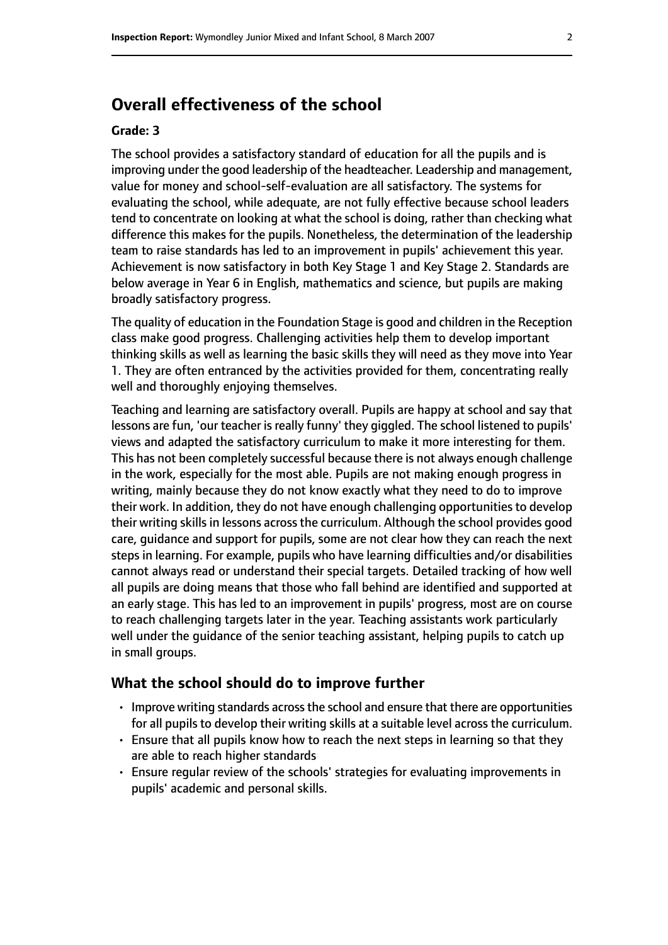### **Overall effectiveness of the school**

#### **Grade: 3**

The school provides a satisfactory standard of education for all the pupils and is improving under the good leadership of the headteacher. Leadership and management, value for money and school-self-evaluation are all satisfactory. The systems for evaluating the school, while adequate, are not fully effective because school leaders tend to concentrate on looking at what the school is doing, rather than checking what difference this makes for the pupils. Nonetheless, the determination of the leadership team to raise standards has led to an improvement in pupils' achievement this year. Achievement is now satisfactory in both Key Stage 1 and Key Stage 2. Standards are below average in Year 6 in English, mathematics and science, but pupils are making broadly satisfactory progress.

The quality of education in the Foundation Stage is good and children in the Reception class make good progress. Challenging activities help them to develop important thinking skills as well as learning the basic skills they will need as they move into Year 1. They are often entranced by the activities provided for them, concentrating really well and thoroughly enjoying themselves.

Teaching and learning are satisfactory overall. Pupils are happy at school and say that lessons are fun, 'our teacher is really funny' they giggled. The school listened to pupils' views and adapted the satisfactory curriculum to make it more interesting for them. This has not been completely successful because there is not always enough challenge in the work, especially for the most able. Pupils are not making enough progress in writing, mainly because they do not know exactly what they need to do to improve their work. In addition, they do not have enough challenging opportunities to develop their writing skills in lessons across the curriculum. Although the school provides good care, guidance and support for pupils, some are not clear how they can reach the next steps in learning. For example, pupils who have learning difficulties and/or disabilities cannot always read or understand their special targets. Detailed tracking of how well all pupils are doing means that those who fall behind are identified and supported at an early stage. This has led to an improvement in pupils' progress, most are on course to reach challenging targets later in the year. Teaching assistants work particularly well under the guidance of the senior teaching assistant, helping pupils to catch up in small groups.

#### **What the school should do to improve further**

- Improve writing standards across the school and ensure that there are opportunities for all pupils to develop their writing skills at a suitable level across the curriculum.
- Ensure that all pupils know how to reach the next steps in learning so that they are able to reach higher standards
- Ensure regular review of the schools' strategies for evaluating improvements in pupils' academic and personal skills.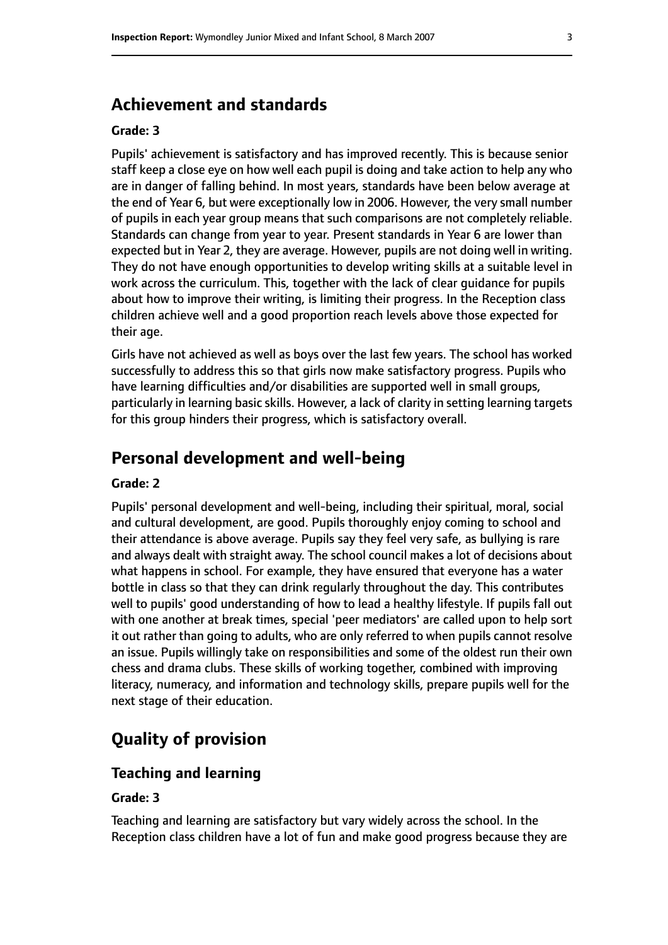### **Achievement and standards**

#### **Grade: 3**

Pupils' achievement is satisfactory and has improved recently. This is because senior staff keep a close eye on how well each pupil is doing and take action to help any who are in danger of falling behind. In most years, standards have been below average at the end of Year 6, but were exceptionally low in 2006. However, the very small number of pupils in each year group means that such comparisons are not completely reliable. Standards can change from year to year. Present standards in Year 6 are lower than expected but in Year 2, they are average. However, pupils are not doing well in writing. They do not have enough opportunities to develop writing skills at a suitable level in work across the curriculum. This, together with the lack of clear guidance for pupils about how to improve their writing, is limiting their progress. In the Reception class children achieve well and a good proportion reach levels above those expected for their age.

Girls have not achieved as well as boys over the last few years. The school has worked successfully to address this so that girls now make satisfactory progress. Pupils who have learning difficulties and/or disabilities are supported well in small groups, particularly in learning basic skills. However, a lack of clarity in setting learning targets for this group hinders their progress, which is satisfactory overall.

### **Personal development and well-being**

#### **Grade: 2**

Pupils' personal development and well-being, including their spiritual, moral, social and cultural development, are good. Pupils thoroughly enjoy coming to school and their attendance is above average. Pupils say they feel very safe, as bullying is rare and always dealt with straight away. The school council makes a lot of decisions about what happens in school. For example, they have ensured that everyone has a water bottle in class so that they can drink regularly throughout the day. This contributes well to pupils' good understanding of how to lead a healthy lifestyle. If pupils fall out with one another at break times, special 'peer mediators' are called upon to help sort it out rather than going to adults, who are only referred to when pupils cannot resolve an issue. Pupils willingly take on responsibilities and some of the oldest run their own chess and drama clubs. These skills of working together, combined with improving literacy, numeracy, and information and technology skills, prepare pupils well for the next stage of their education.

### **Quality of provision**

#### **Teaching and learning**

#### **Grade: 3**

Teaching and learning are satisfactory but vary widely across the school. In the Reception class children have a lot of fun and make good progress because they are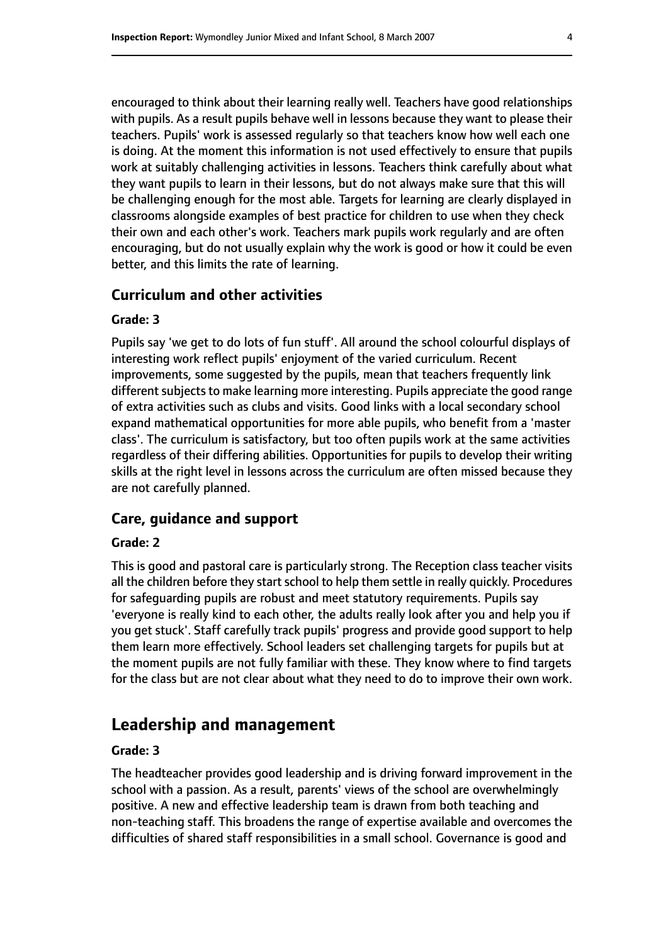encouraged to think about their learning really well. Teachers have good relationships with pupils. As a result pupils behave well in lessons because they want to please their teachers. Pupils' work is assessed regularly so that teachers know how well each one is doing. At the moment this information is not used effectively to ensure that pupils work at suitably challenging activities in lessons. Teachers think carefully about what they want pupils to learn in their lessons, but do not always make sure that this will be challenging enough for the most able. Targets for learning are clearly displayed in classrooms alongside examples of best practice for children to use when they check their own and each other's work. Teachers mark pupils work regularly and are often encouraging, but do not usually explain why the work is good or how it could be even better, and this limits the rate of learning.

#### **Curriculum and other activities**

#### **Grade: 3**

Pupils say 'we get to do lots of fun stuff'. All around the school colourful displays of interesting work reflect pupils' enjoyment of the varied curriculum. Recent improvements, some suggested by the pupils, mean that teachers frequently link different subjects to make learning more interesting. Pupils appreciate the good range of extra activities such as clubs and visits. Good links with a local secondary school expand mathematical opportunities for more able pupils, who benefit from a 'master class'. The curriculum is satisfactory, but too often pupils work at the same activities regardless of their differing abilities. Opportunities for pupils to develop their writing skills at the right level in lessons across the curriculum are often missed because they are not carefully planned.

#### **Care, guidance and support**

#### **Grade: 2**

This is good and pastoral care is particularly strong. The Reception class teacher visits all the children before they start school to help them settle in really quickly. Procedures for safeguarding pupils are robust and meet statutory requirements. Pupils say 'everyone is really kind to each other, the adults really look after you and help you if you get stuck'. Staff carefully track pupils' progress and provide good support to help them learn more effectively. School leaders set challenging targets for pupils but at the moment pupils are not fully familiar with these. They know where to find targets for the class but are not clear about what they need to do to improve their own work.

### **Leadership and management**

#### **Grade: 3**

The headteacher provides good leadership and is driving forward improvement in the school with a passion. As a result, parents' views of the school are overwhelmingly positive. A new and effective leadership team is drawn from both teaching and non-teaching staff. This broadens the range of expertise available and overcomes the difficulties of shared staff responsibilities in a small school. Governance is good and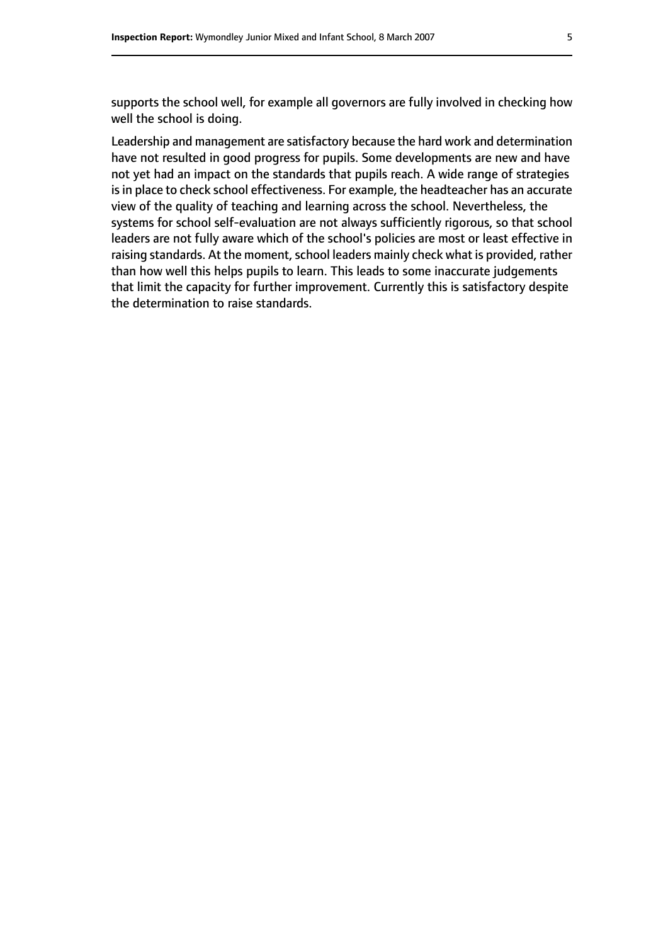supports the school well, for example all governors are fully involved in checking how well the school is doing.

Leadership and management are satisfactory because the hard work and determination have not resulted in good progress for pupils. Some developments are new and have not yet had an impact on the standards that pupils reach. A wide range of strategies is in place to check school effectiveness. For example, the headteacher has an accurate view of the quality of teaching and learning across the school. Nevertheless, the systems for school self-evaluation are not always sufficiently rigorous, so that school leaders are not fully aware which of the school's policies are most or least effective in raising standards. At the moment, school leaders mainly check what is provided, rather than how well this helps pupils to learn. This leads to some inaccurate judgements that limit the capacity for further improvement. Currently this is satisfactory despite the determination to raise standards.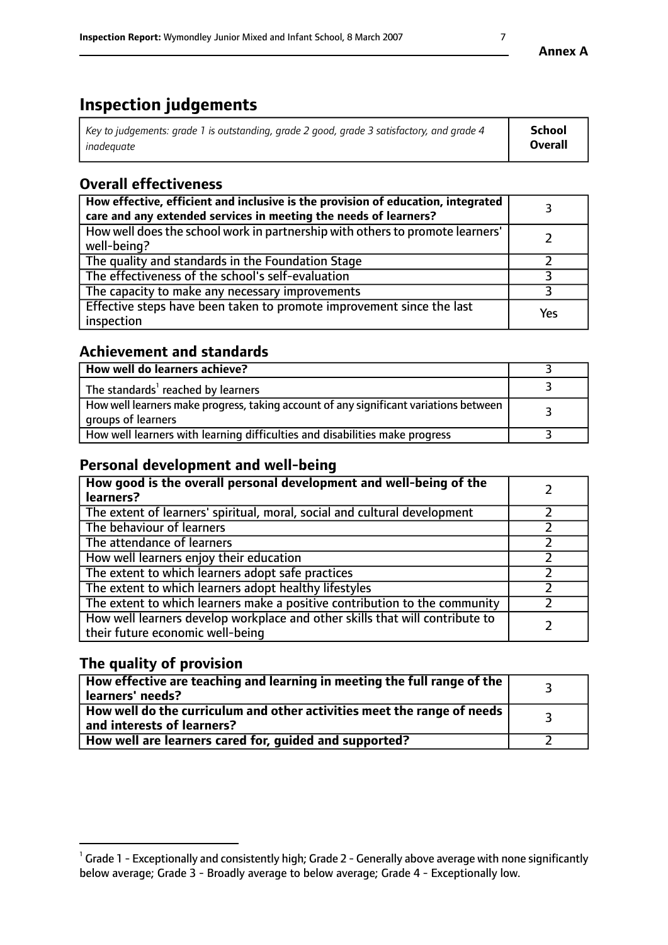# **Inspection judgements**

| Key to judgements: grade 1 is outstanding, grade 2 good, grade 3 satisfactory, and grade 4 | School         |
|--------------------------------------------------------------------------------------------|----------------|
| inadeauate                                                                                 | <b>Overall</b> |

### **Overall effectiveness**

| How effective, efficient and inclusive is the provision of education, integrated<br>care and any extended services in meeting the needs of learners? |     |
|------------------------------------------------------------------------------------------------------------------------------------------------------|-----|
| How well does the school work in partnership with others to promote learners'<br>well-being?                                                         |     |
| The quality and standards in the Foundation Stage                                                                                                    |     |
| The effectiveness of the school's self-evaluation                                                                                                    |     |
| The capacity to make any necessary improvements                                                                                                      |     |
| Effective steps have been taken to promote improvement since the last<br>inspection                                                                  | Yes |

### **Achievement and standards**

| How well do learners achieve?                                                                               |  |
|-------------------------------------------------------------------------------------------------------------|--|
| The standards <sup>1</sup> reached by learners                                                              |  |
| How well learners make progress, taking account of any significant variations between<br>groups of learners |  |
| How well learners with learning difficulties and disabilities make progress                                 |  |

### **Personal development and well-being**

| How good is the overall personal development and well-being of the<br>learners?                                  |  |
|------------------------------------------------------------------------------------------------------------------|--|
| The extent of learners' spiritual, moral, social and cultural development                                        |  |
| The behaviour of learners                                                                                        |  |
| The attendance of learners                                                                                       |  |
| How well learners enjoy their education                                                                          |  |
| The extent to which learners adopt safe practices                                                                |  |
| The extent to which learners adopt healthy lifestyles                                                            |  |
| The extent to which learners make a positive contribution to the community                                       |  |
| How well learners develop workplace and other skills that will contribute to<br>their future economic well-being |  |

### **The quality of provision**

| How effective are teaching and learning in meeting the full range of the<br>learners' needs?          |  |
|-------------------------------------------------------------------------------------------------------|--|
| How well do the curriculum and other activities meet the range of needs<br>and interests of learners? |  |
| How well are learners cared for, guided and supported?                                                |  |

 $^1$  Grade 1 - Exceptionally and consistently high; Grade 2 - Generally above average with none significantly below average; Grade 3 - Broadly average to below average; Grade 4 - Exceptionally low.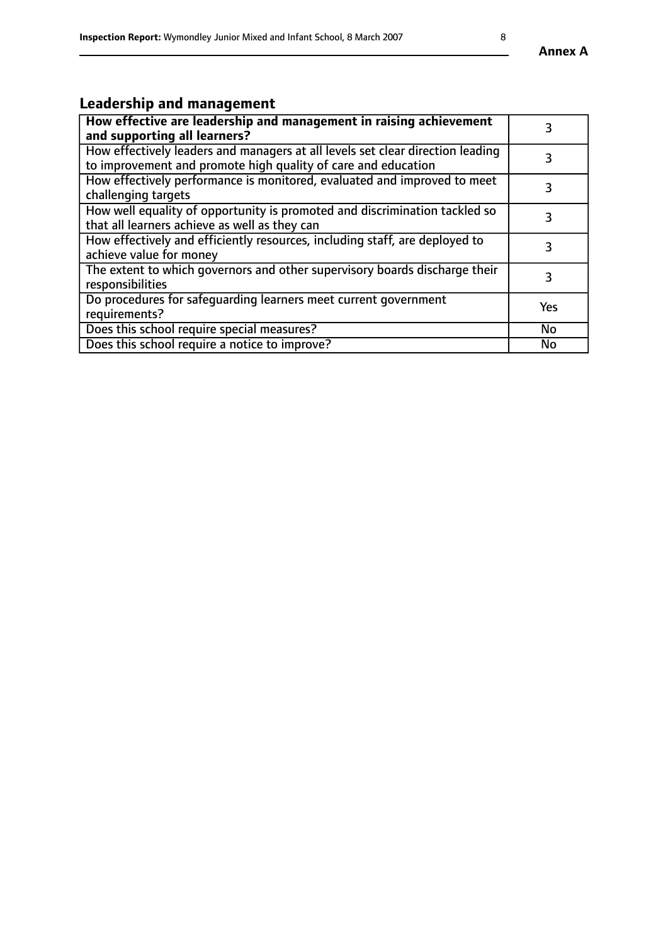# **Leadership and management**

| How effective are leadership and management in raising achievement<br>and supporting all learners?                                              | 3         |
|-------------------------------------------------------------------------------------------------------------------------------------------------|-----------|
| How effectively leaders and managers at all levels set clear direction leading<br>to improvement and promote high quality of care and education |           |
| How effectively performance is monitored, evaluated and improved to meet<br>challenging targets                                                 | 3         |
| How well equality of opportunity is promoted and discrimination tackled so<br>that all learners achieve as well as they can                     |           |
| How effectively and efficiently resources, including staff, are deployed to<br>achieve value for money                                          | 3         |
| The extent to which governors and other supervisory boards discharge their<br>responsibilities                                                  | 3         |
| Do procedures for safequarding learners meet current government<br>requirements?                                                                | Yes       |
| Does this school require special measures?                                                                                                      | No        |
| Does this school require a notice to improve?                                                                                                   | <b>No</b> |